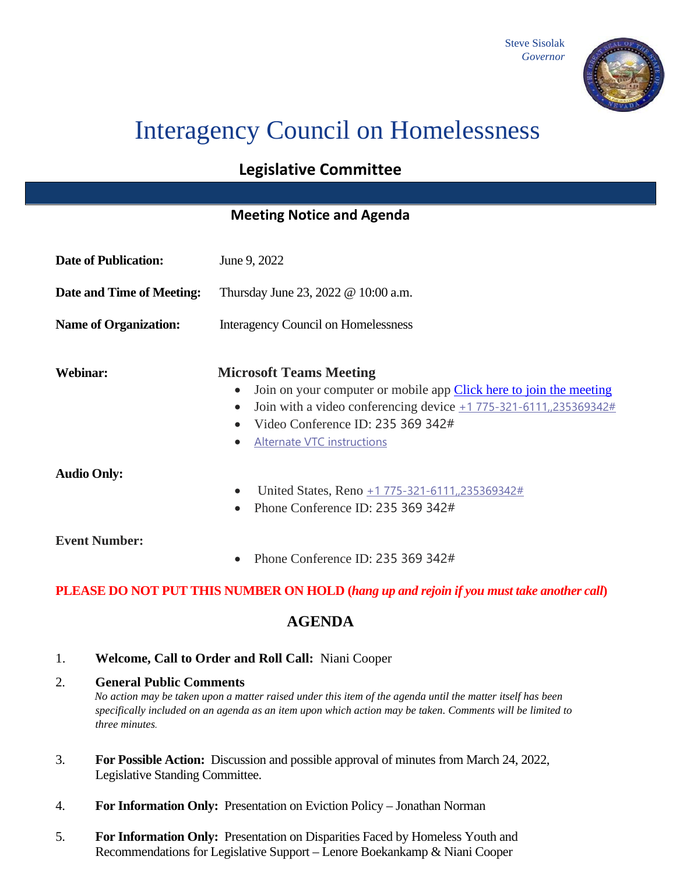

# Interagency Council on Homelessness

# **Legislative Committee**

## **Meeting Notice and Agenda**

| <b>Date of Publication:</b>                                                              | June 9, 2022                                                                                                                                                                                                                                                          |
|------------------------------------------------------------------------------------------|-----------------------------------------------------------------------------------------------------------------------------------------------------------------------------------------------------------------------------------------------------------------------|
| <b>Date and Time of Meeting:</b>                                                         | Thursday June 23, 2022 @ 10:00 a.m.                                                                                                                                                                                                                                   |
| <b>Name of Organization:</b>                                                             | <b>Interagency Council on Homelessness</b>                                                                                                                                                                                                                            |
| <b>Webinar:</b>                                                                          | <b>Microsoft Teams Meeting</b><br>Join on your computer or mobile app Click here to join the meeting<br>Join with a video conferencing device $\pm$ 1 775-321-6111, 235369342#<br>Video Conference ID: 235 369 342#<br><b>Alternate VTC instructions</b><br>$\bullet$ |
| <b>Audio Only:</b>                                                                       | United States, Reno +1 775-321-6111, 235369342#<br>$\bullet$<br>Phone Conference ID: 235 369 342#                                                                                                                                                                     |
| <b>Event Number:</b>                                                                     | Phone Conference ID: 235 369 342#                                                                                                                                                                                                                                     |
| PLEASE DO NOT PUT THIS NUMBER ON HOLD (hang up and rejoin if you must take another call) |                                                                                                                                                                                                                                                                       |
| <b>AGENDA</b>                                                                            |                                                                                                                                                                                                                                                                       |

1. **Welcome, Call to Order and Roll Call:** Niani Cooper

#### 2. **General Public Comments**

*No action may be taken upon a matter raised under this item of the agenda until the matter itself has been specifically included on an agenda as an item upon which action may be taken. Comments will be limited to three minutes.*

- 3. **For Possible Action:** Discussion and possible approval of minutes from March 24, 2022, Legislative Standing Committee.
- 4. **For Information Only:** Presentation on Eviction Policy Jonathan Norman
- 5. **For Information Only:** Presentation on Disparities Faced by Homeless Youth and Recommendations for Legislative Support – Lenore Boekankamp & Niani Cooper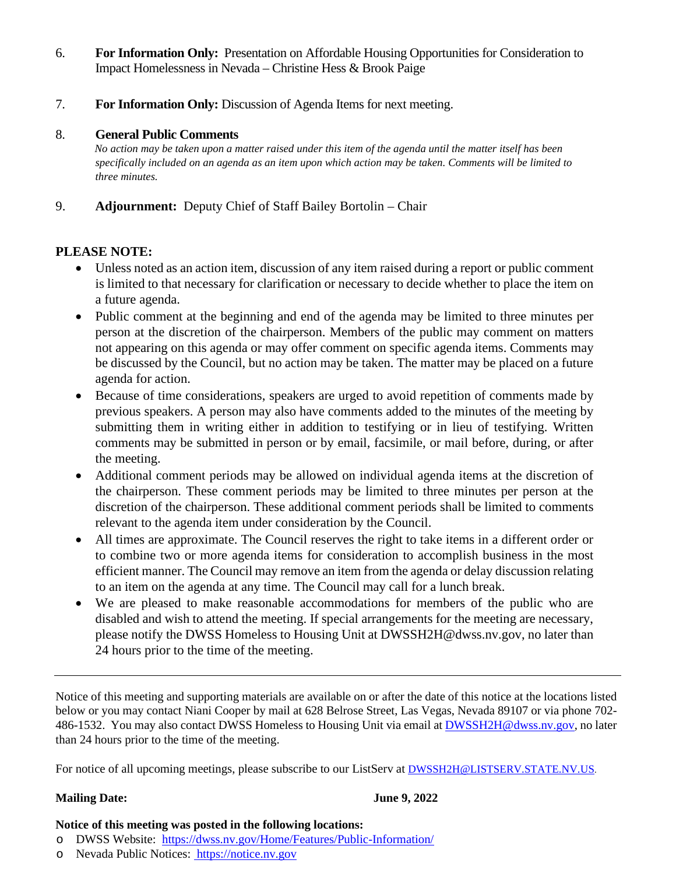- 6. **For Information Only:** Presentation on Affordable Housing Opportunities for Consideration to Impact Homelessness in Nevada – Christine Hess & Brook Paige
- 7. **For Information Only:** Discussion of Agenda Items for next meeting.

#### 8. **General Public Comments**

*No action may be taken upon a matter raised under this item of the agenda until the matter itself has been specifically included on an agenda as an item upon which action may be taken. Comments will be limited to three minutes.*

### 9. **Adjournment:** Deputy Chief of Staff Bailey Bortolin – Chair

#### **PLEASE NOTE:**

- Unless noted as an action item, discussion of any item raised during a report or public comment is limited to that necessary for clarification or necessary to decide whether to place the item on a future agenda.
- Public comment at the beginning and end of the agenda may be limited to three minutes per person at the discretion of the chairperson. Members of the public may comment on matters not appearing on this agenda or may offer comment on specific agenda items. Comments may be discussed by the Council, but no action may be taken. The matter may be placed on a future agenda for action.
- Because of time considerations, speakers are urged to avoid repetition of comments made by previous speakers. A person may also have comments added to the minutes of the meeting by submitting them in writing either in addition to testifying or in lieu of testifying. Written comments may be submitted in person or by email, facsimile, or mail before, during, or after the meeting.
- Additional comment periods may be allowed on individual agenda items at the discretion of the chairperson. These comment periods may be limited to three minutes per person at the discretion of the chairperson. These additional comment periods shall be limited to comments relevant to the agenda item under consideration by the Council.
- All times are approximate. The Council reserves the right to take items in a different order or to combine two or more agenda items for consideration to accomplish business in the most efficient manner. The Council may remove an item from the agenda or delay discussion relating to an item on the agenda at any time. The Council may call for a lunch break.
- We are pleased to make reasonable accommodations for members of the public who are disabled and wish to attend the meeting. If special arrangements for the meeting are necessary, please notify the DWSS Homeless to Housing Unit at DWSSH2H@dwss.nv.gov, no later than 24 hours prior to the time of the meeting.

Notice of this meeting and supporting materials are available on or after the date of this notice at the locations listed below or you may contact Niani Cooper by mail at 628 Belrose Street, Las Vegas, Nevada 89107 or via phone 702- 486-1532. You may also contact DWSS Homeless to Housing Unit via email at **DWSSH2H@dwss.nv.gov**, no later than 24 hours prior to the time of the meeting.

For notice of all upcoming meetings, please subscribe to our ListServ at **DWSSH2H@LISTSERV.STATE.NV.US.** 

#### **Mailing Date:** June 9, 2022

#### **Notice of this meeting was posted in the following locations:**

- o DWSS Website: <https://dwss.nv.gov/Home/Features/Public-Information/>
- o Nevada Public Notices: https://notice.nv.gov